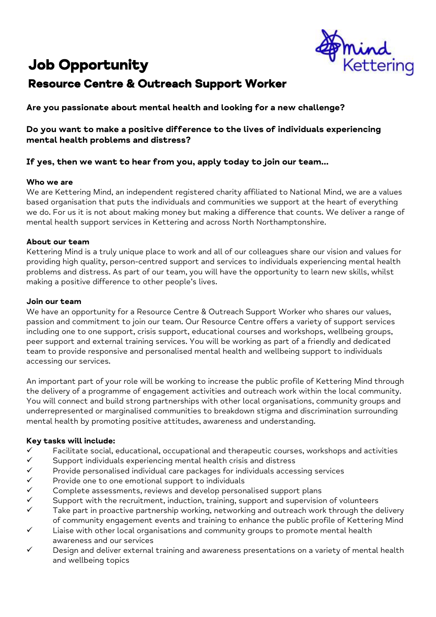# Job Opportunity



# Resource Centre & Outreach Support Worker

**Are you passionate about mental health and looking for a new challenge?**

# **Do you want to make a positive difference to the lives of individuals experiencing mental health problems and distress?**

# **If yes, then we want to hear from you, apply today to join our team…**

# **Who we are**

We are Kettering Mind, an independent registered charity affiliated to National Mind, we are a values based organisation that puts the individuals and communities we support at the heart of everything we do. For us it is not about making money but making a difference that counts. We deliver a range of mental health support services in Kettering and across North Northamptonshire.

# **About our team**

Kettering Mind is a truly unique place to work and all of our colleagues share our vision and values for providing high quality, person-centred support and services to individuals experiencing mental health problems and distress. As part of our team, you will have the opportunity to learn new skills, whilst making a positive difference to other people's lives.

# **Join our team**

We have an opportunity for a Resource Centre & Outreach Support Worker who shares our values, passion and commitment to join our team. Our Resource Centre offers a variety of support services including one to one support, crisis support, educational courses and workshops, wellbeing groups, peer support and external training services. You will be working as part of a friendly and dedicated team to provide responsive and personalised mental health and wellbeing support to individuals accessing our services.

An important part of your role will be working to increase the public profile of Kettering Mind through the delivery of a programme of engagement activities and outreach work within the local community. You will connect and build strong partnerships with other local organisations, community groups and underrepresented or marginalised communities to breakdown stigma and discrimination surrounding mental health by promoting positive attitudes, awareness and understanding.

# **Key tasks will include:**

- $\checkmark$  Facilitate social, educational, occupational and therapeutic courses, workshops and activities
- $\checkmark$  Support individuals experiencing mental health crisis and distress
- $\checkmark$  Provide personalised individual care packages for individuals accessing services<br> $\checkmark$  Provide one to one emotional support to individuals
- $\checkmark$  Provide one to one emotional support to individuals  $\checkmark$  Complete assessments, reviews and develop persor
- 
- $\begin{array}{ll}\n\checkmark & \text{Complete assessments, reviews and develop personalised support plans} \\
\checkmark & \text{Support with the recruitment, induction, training, support and supervision} \\
\checkmark & \text{Take part in practice partnership working. networking and outbreak work.\n\end{array}$ Support with the recruitment, induction, training, support and supervision of volunteers
- Take part in proactive partnership working, networking and outreach work through the delivery of community engagement events and training to enhance the public profile of Kettering Mind
- $\checkmark$  Liaise with other local organisations and community groups to promote mental health awareness and our services
- $\checkmark$  Design and deliver external training and awareness presentations on a variety of mental health and wellbeing topics